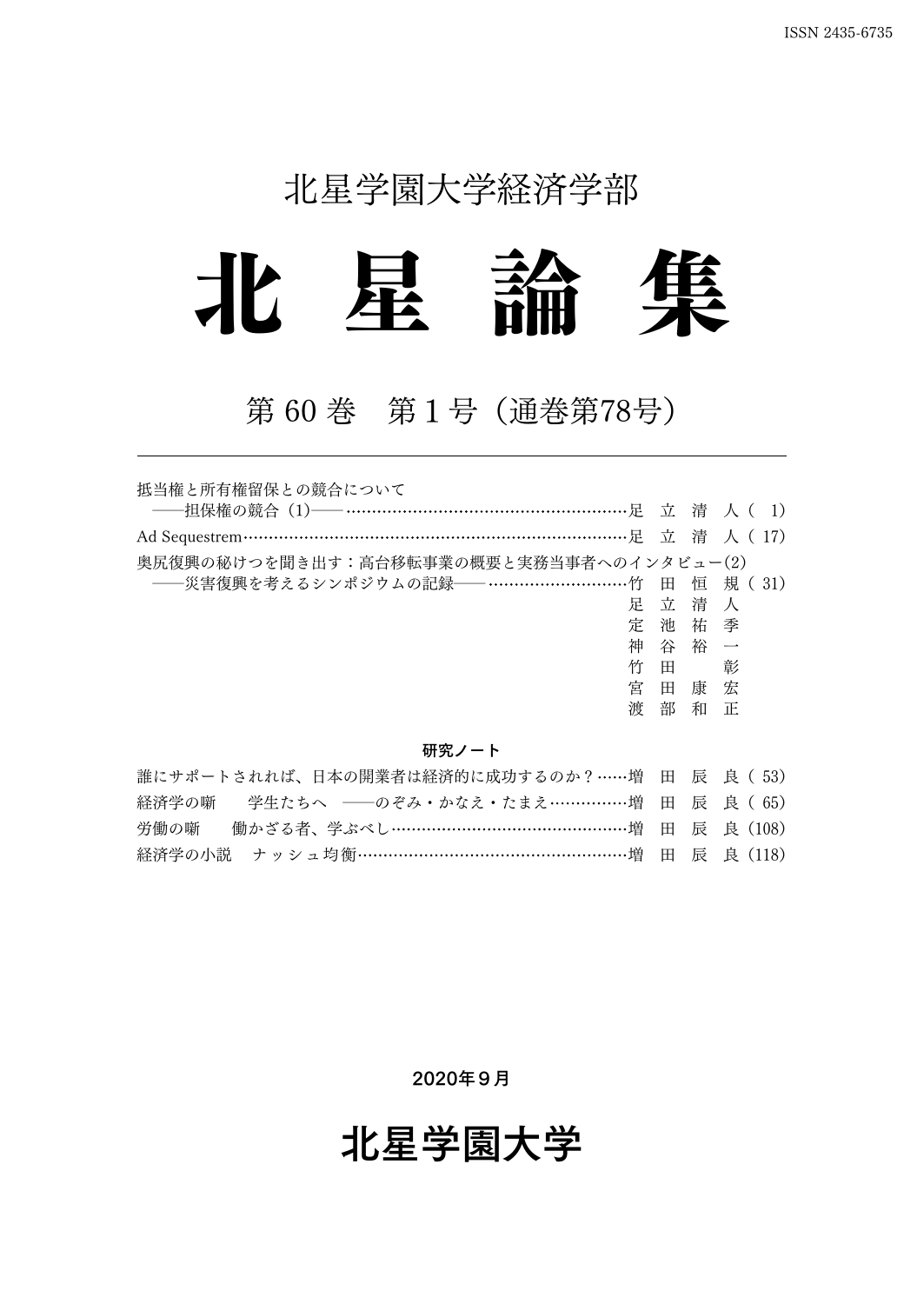## 北星学園大学経済学部



### 第 60 巻 第1号(通巻第78号)

| 抵当権と所有権留保との競合について                                               |   |   |     |   |  |
|-----------------------------------------------------------------|---|---|-----|---|--|
| ――担保権の競合(1)―― …………………………………………………足 立 清 人( 1)                    |   |   |     |   |  |
| Ad Sequestrem………………………………………………………………………足 立 清 人 (17)            |   |   |     |   |  |
| 奥尻復興の秘けつを聞き出す:高台移転事業の概要と実務当事者へのインタビュー(2)                        |   |   |     |   |  |
| -----災害復興を考えるシンポジウムの記録----------------------------竹 田 恒 規 ( 31) |   |   |     |   |  |
|                                                                 | 足 |   | 立清人 |   |  |
|                                                                 | 定 | 池 | 祐季  |   |  |
|                                                                 | 神 | 谷 | 裕 一 |   |  |
|                                                                 | 竹 | 田 |     | 彰 |  |
|                                                                 | 宮 | 田 | 康   | 宏 |  |
|                                                                 | 渡 | 部 | 和   | 正 |  |
|                                                                 |   |   |     |   |  |

### 研究ノート

|      | 誰にサポートされれば、日本の開業者は経済的に成功するのか?……増 田 辰 良 (53) |  |  |
|------|---------------------------------------------|--|--|
|      | 経済学の噺  学生たちへ ――のぞみ・かなえ・たまえ……………増 田 辰 良( 65) |  |  |
| 労働の噺 | – 働かざる者、学ぶべし…………………………………………増 田 辰 良(108)    |  |  |
|      | 経済学の小説 ナッシュ均衡……………………………………………増 田 辰 良 (118) |  |  |

2020年9月

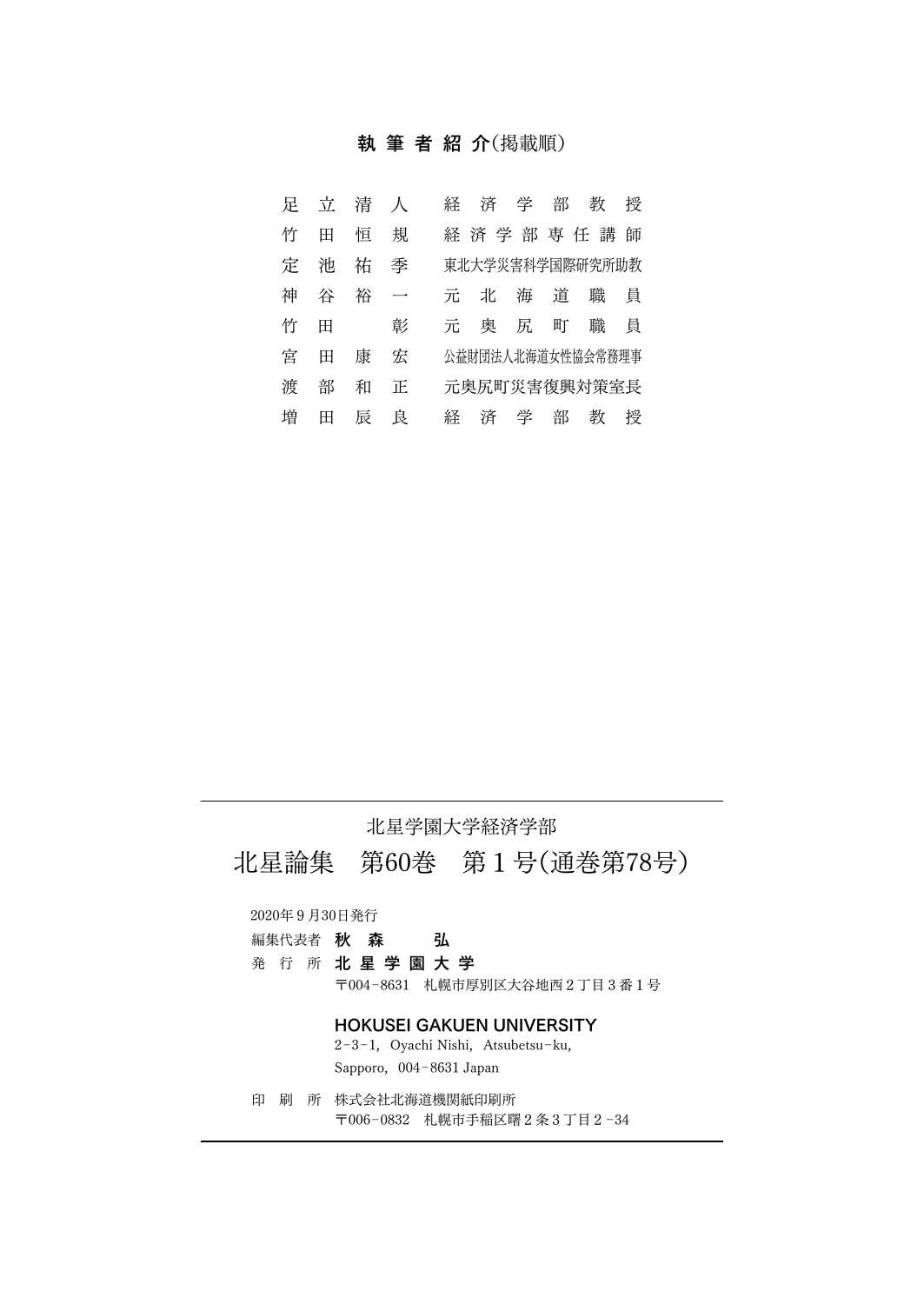### 執筆者紹介(掲載順)

| 暈 | 立 | 清 | 人 | 学<br>部<br>教<br>経<br>済<br>桴     |
|---|---|---|---|--------------------------------|
| 竹 | ⊞ | 恒 | 規 | 経済学部専任講<br>師                   |
| 定 | 池 | 祐 | 季 | 東北大学災害科学国際研究所助教                |
| 神 | 谷 | 裕 |   | 職<br>道<br>海<br>٦r<br>員<br>元    |
| 竹 | H |   | 彰 | 職<br>町<br>奥<br>員<br>尻<br>$\pi$ |
| 宮 | ⊞ | 康 | 宏 | 公益財団法人北海道女性協会常務理事              |
| 渡 | 部 | 和 | 正 | 元奥尻町災害復興対策室長                   |
| 増 | H | 辰 | 良 | 学<br>経<br>部<br>教<br>桴<br>済     |

### 北星学園大学経済学部

北星論集 第60巻 第1号(通巻第78号)

2020年9月30日発行

| 編集代表者 | 秋 |  | 弘 |
|-------|---|--|---|
|-------|---|--|---|

発行所 北星学園大学

〒004-8631 札幌市厚別区大谷地西2丁目3番1号

### HOKUSEI GAKUEN UNIVERSITY

2-3-1, Oyachi Nishi, Atsubetsu-ku, Sapporo, 004-8631 Japan

印刷所 株式会社北海道機関紙印刷所 〒006-0832 札幌市手稲区曙2条3丁目2-34